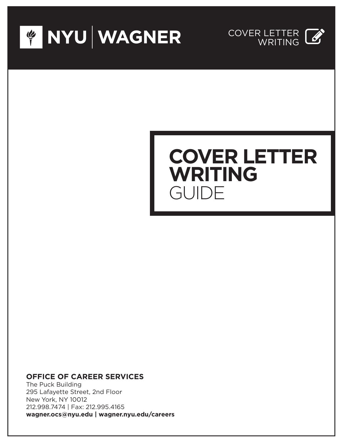



# **COVER LETTER WRITING** GUIDE

## **OFFICE OF CAREER SERVICES**

The Puck Building 295 Lafayette Street, 2nd Floor New York, NY 10012 212.998.7474 | Fax: 212.995.4165 **wagner.ocs@nyu.edu | wagner.nyu.edu/careers**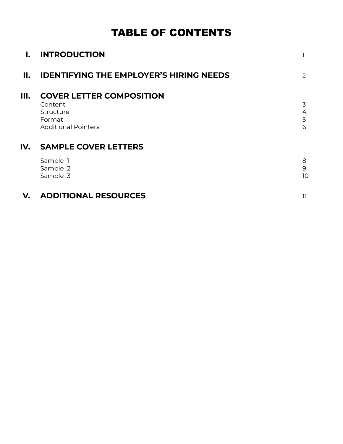# TABLE OF CONTENTS

| $\mathbf{l}$ . | <b>INTRODUCTION</b>                                                                             |                  |
|----------------|-------------------------------------------------------------------------------------------------|------------------|
| II.            | <b>IDENTIFYING THE EMPLOYER'S HIRING NEEDS</b>                                                  | 2                |
| Ш.             | <b>COVER LETTER COMPOSITION</b><br>Content<br>Structure<br>Format<br><b>Additional Pointers</b> | 3<br>4<br>5<br>6 |
| IV.            | <b>SAMPLE COVER LETTERS</b>                                                                     |                  |
|                | Sample 1<br>Sample 2<br>Sample 3                                                                | 8<br>9<br>10     |
| V.             | <b>ADDITIONAL RESOURCES</b>                                                                     | 11               |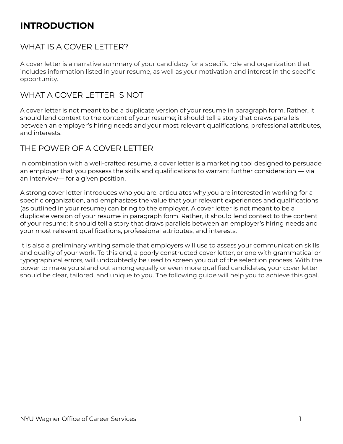# **INTRODUCTION**

# WHAT IS A COVER LETTER?

A cover letter is a narrative summary of your candidacy for a specific role and organization that includes information listed in your resume, as well as your motivation and interest in the specific opportunity.

# WHAT A COVER LETTER IS NOT

A cover letter is not meant to be a duplicate version of your resume in paragraph form. Rather, it should lend context to the content of your resume; it should tell a story that draws parallels between an employer's hiring needs and your most relevant qualifications, professional attributes, and interests.

# THE POWER OF A COVER LETTER

In combination with a well-crafted resume, a cover letter is a marketing tool designed to persuade an employer that you possess the skills and qualifications to warrant further consideration — via an interview— for a given position.

A strong cover letter introduces who you are, articulates why you are interested in working for a specific organization, and emphasizes the value that your relevant experiences and qualifications (as outlined in your resume) can bring to the employer. A cover letter is not meant to be a duplicate version of your resume in paragraph form. Rather, it should lend context to the content of your resume; it should tell a story that draws parallels between an employer's hiring needs and your most relevant qualifications, professional attributes, and interests.

It is also a preliminary writing sample that employers will use to assess your communication skills and quality of your work. To this end, a poorly constructed cover letter, or one with grammatical or typographical errors, will undoubtedly be used to screen you out of the selection process. With the power to make you stand out among equally or even more qualified candidates, your cover letter should be clear, tailored, and unique to you. The following guide will help you to achieve this goal.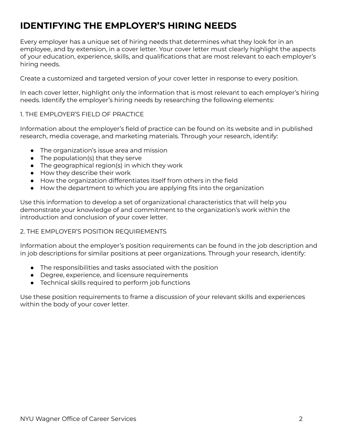# **IDENTIFYING THE EMPLOYER'S HIRING NEEDS**

Every employer has a unique set of hiring needs that determines what they look for in an employee, and by extension, in a cover letter. Your cover letter must clearly highlight the aspects of your education, experience, skills, and qualifications that are most relevant to each employer's hiring needs.

Create a customized and targeted version of your cover letter in response to every position.

In each cover letter, highlight only the information that is most relevant to each employer's hiring needs. Identify the employer's hiring needs by researching the following elements:

#### 1. THE EMPLOYER'S FIELD OF PRACTICE

Information about the employer's field of practice can be found on its website and in published research, media coverage, and marketing materials. Through your research, identify:

- The organization's issue area and mission
- The population(s) that they serve
- The geographical region(s) in which they work
- How they describe their work
- How the organization differentiates itself from others in the field
- How the department to which you are applying fits into the organization

Use this information to develop a set of organizational characteristics that will help you demonstrate your knowledge of and commitment to the organization's work within the introduction and conclusion of your cover letter.

#### 2. THE EMPLOYER'S POSITION REQUIREMENTS

Information about the employer's position requirements can be found in the job description and in job descriptions for similar positions at peer organizations. Through your research, identify:

- The responsibilities and tasks associated with the position
- Degree, experience, and licensure requirements
- Technical skills required to perform job functions

Use these position requirements to frame a discussion of your relevant skills and experiences within the body of your cover letter.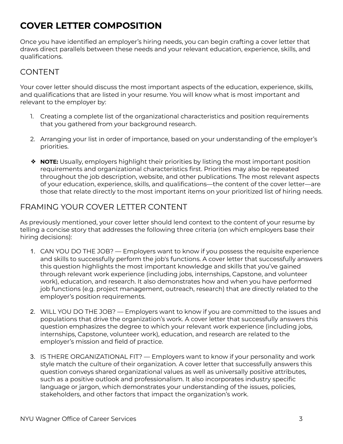# **COVER LETTER COMPOSITION**

Once you have identified an employer's hiring needs, you can begin crafting a cover letter that draws direct parallels between these needs and your relevant education, experience, skills, and qualifications.

# CONTENT

Your cover letter should discuss the most important aspects of the education, experience, skills, and qualifications that are listed in your resume. You will know what is most important and relevant to the employer by:

- 1. Creating a complete list of the organizational characteristics and position requirements that you gathered from your background research.
- 2. Arranging your list in order of importance, based on your understanding of the employer's priorities.
- ❖ **NOTE:** Usually, employers highlight their priorities by listing the most important position requirements and organizational characteristics first. Priorities may also be repeated throughout the job description, website, and other publications. The most relevant aspects of your education, experience, skills, and qualifications—the content of the cover letter—are those that relate directly to the most important items on your prioritized list of hiring needs.

# FRAMING YOUR COVER LETTER CONTENT

As previously mentioned, your cover letter should lend context to the content of your resume by telling a concise story that addresses the following three criteria (on which employers base their hiring decisions):

- 1. CAN YOU DO THE JOB? Employers want to know if you possess the requisite experience and skills to successfully perform the job's functions. A cover letter that successfully answers this question highlights the most important knowledge and skills that you've gained through relevant work experience (including jobs, internships, Capstone, and volunteer work), education, and research. It also demonstrates how and when you have performed job functions (e.g. project management, outreach, research) that are directly related to the employer's position requirements.
- 2. WILL YOU DO THE JOB? Employers want to know if you are committed to the issues and populations that drive the organization's work. A cover letter that successfully answers this question emphasizes the degree to which your relevant work experience (including jobs, internships, Capstone, volunteer work), education, and research are related to the employer's mission and field of practice.
- 3. IS THERE ORGANIZATIONAL FIT? Employers want to know if your personality and work style match the culture of their organization. A cover letter that successfully answers this question conveys shared organizational values as well as universally positive attributes, such as a positive outlook and professionalism. It also incorporates industry specific language or jargon, which demonstrates your understanding of the issues, policies, stakeholders, and other factors that impact the organization's work.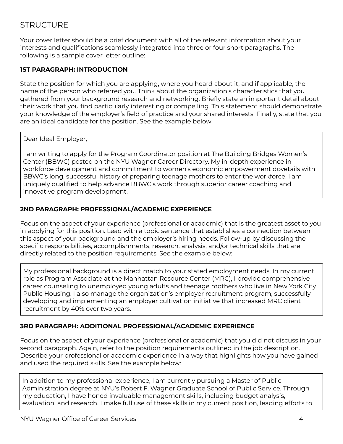# **STRUCTURE**

Your cover letter should be a brief document with all of the relevant information about your interests and qualifications seamlessly integrated into three or four short paragraphs. The following is a sample cover letter outline:

#### **1ST PARAGRAPH: INTRODUCTION**

State the position for which you are applying, where you heard about it, and if applicable, the name of the person who referred you. Think about the organization's characteristics that you gathered from your background research and networking. Briefly state an important detail about their work that you find particularly interesting or compelling. This statement should demonstrate your knowledge of the employer's field of practice and your shared interests. Finally, state that you are an ideal candidate for the position. See the example below:

Dear Ideal Employer,

I am writing to apply for the Program Coordinator position at The Building Bridges Women's Center (BBWC) posted on the NYU Wagner Career Directory. My in-depth experience in workforce development and commitment to women's economic empowerment dovetails with BBWC's long, successful history of preparing teenage mothers to enter the workforce. I am uniquely qualified to help advance BBWC's work through superior career coaching and innovative program development.

#### **2ND PARAGRAPH: PROFESSIONAL/ACADEMIC EXPERIENCE**

Focus on the aspect of your experience (professional or academic) that is the greatest asset to you in applying for this position. Lead with a topic sentence that establishes a connection between this aspect of your background and the employer's hiring needs. Follow-up by discussing the specific responsibilities, accomplishments, research, analysis, and/or technical skills that are directly related to the position requirements. See the example below:

My professional background is a direct match to your stated employment needs. In my current role as Program Associate at the Manhattan Resource Center (MRC), I provide comprehensive career counseling to unemployed young adults and teenage mothers who live in New York City Public Housing. I also manage the organization's employer recruitment program, successfully developing and implementing an employer cultivation initiative that increased MRC client recruitment by 40% over two years.

#### **3RD PARAGRAPH: ADDITIONAL PROFESSIONAL/ACADEMIC EXPERIENCE**

Focus on the aspect of your experience (professional or academic) that you did not discuss in your second paragraph. Again, refer to the position requirements outlined in the job description. Describe your professional or academic experience in a way that highlights how you have gained and used the required skills. See the example below:

In addition to my professional experience, I am currently pursuing a Master of Public Administration degree at NYU's Robert F. Wagner Graduate School of Public Service. Through my education, I have honed invaluable management skills, including budget analysis, evaluation, and research. I make full use of these skills in my current position, leading efforts to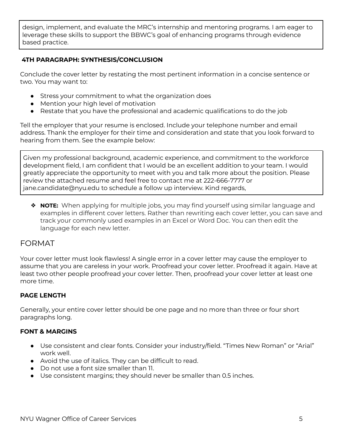design, implement, and evaluate the MRC's internship and mentoring programs. I am eager to leverage these skills to support the BBWC's goal of enhancing programs through evidence based practice.

#### **4TH PARAGRAPH: SYNTHESIS/CONCLUSION**

Conclude the cover letter by restating the most pertinent information in a concise sentence or two. You may want to:

- Stress your commitment to what the organization does
- Mention your high level of motivation
- Restate that you have the professional and academic qualifications to do the job

Tell the employer that your resume is enclosed. Include your telephone number and email address. Thank the employer for their time and consideration and state that you look forward to hearing from them. See the example below:

Given my professional background, academic experience, and commitment to the workforce development field, I am confident that I would be an excellent addition to your team. I would greatly appreciate the opportunity to meet with you and talk more about the position. Please review the attached resume and feel free to contact me at 222-666-7777 or jane.candidate@nyu.edu to schedule a follow up interview. Kind regards,

❖ **NOTE:** When applying for multiple jobs, you may find yourself using similar language and examples in different cover letters. Rather than rewriting each cover letter, you can save and track your commonly used examples in an Excel or Word Doc. You can then edit the language for each new letter.

### FORMAT

Your cover letter must look flawless! A single error in a cover letter may cause the employer to assume that you are careless in your work. Proofread your cover letter. Proofread it again. Have at least two other people proofread your cover letter. Then, proofread your cover letter at least one more time.

#### **PAGE LENGTH**

Generally, your entire cover letter should be one page and no more than three or four short paragraphs long.

#### **FONT & MARGINS**

- Use consistent and clear fonts. Consider your industry/field. "Times New Roman" or "Arial" work well.
- Avoid the use of italics. They can be difficult to read.
- Do not use a font size smaller than 11.
- Use consistent margins; they should never be smaller than 0.5 inches.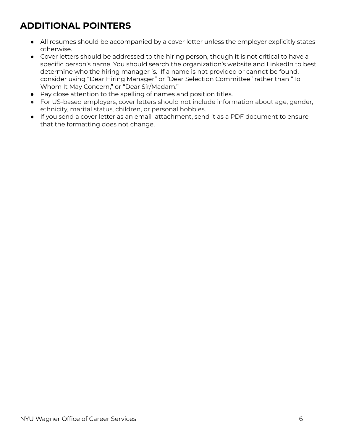# **ADDITIONAL POINTERS**

- All resumes should be accompanied by a cover letter unless the employer explicitly states otherwise.
- Cover letters should be addressed to the hiring person, though it is not critical to have a specific person's name. You should search the organization's website and LinkedIn to best determine who the hiring manager is. If a name is not provided or cannot be found, consider using "Dear Hiring Manager" or "Dear Selection Committee" rather than "To Whom It May Concern," or "Dear Sir/Madam."
- Pay close attention to the spelling of names and position titles.
- For US-based employers, cover letters should not include information about age, gender, ethnicity, marital status, children, or personal hobbies.
- If you send a cover letter as an email attachment, send it as a PDF document to ensure that the formatting does not change.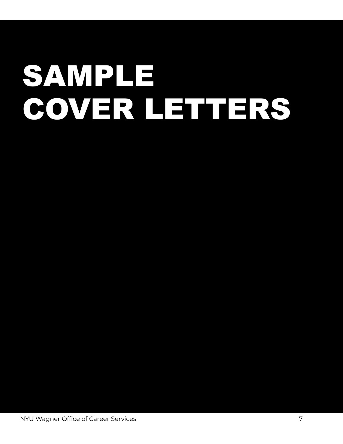# SAMPLE COVER LETTERS

NYU Wagner Office of Career Services 7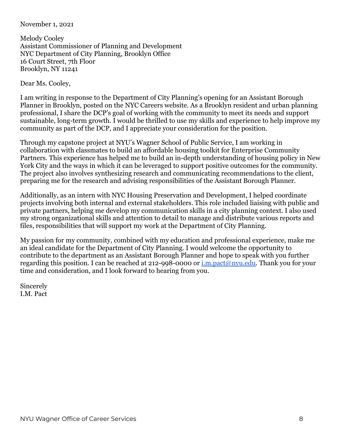#### November 1, 2021

Melody Cooley Assistant Commissioner of Planning and Development NYC Department of City Planning, Brooklyn Office 16 Court Street, 7th Floor Brooklyn, NY 11241

Dear Ms. Cooley,

I am writing in response to the Department of City Planning's opening for an Assistant Borough Planner in Brooklyn, posted on the NYC Careers website. As a Brooklyn resident and urban planning professional, I share the DCP's goal of working with the community to meet its needs and support sustainable, long-term growth. I would be thrilled to use my skills and experience to help improve my community as part of the DCP, and I appreciate your consideration for the position.

Through my capstone project at NYU's Wagner School of Public Service, I am working in collaboration with classmates to build an affordable housing toolkit for Enterprise Community Partners. This experience has helped me to build an in-depth understanding of housing policy in New York City and the ways in which it can be leveraged to support positive outcomes for the community. The project also involves synthesizing research and communicating recommendations to the client, preparing me for the research and advising responsibilities of the Assistant Borough Planner.

Additionally, as an intern with NYC Housing Preservation and Development, I helped coordinate projects involving both internal and external stakeholders. This role included liaising with public and private partners, helping me develop my communication skills in a city planning context. I also used my strong organizational skills and attention to detail to manage and distribute various reports and files, responsibilities that will support my work at the Department of City Planning.

My passion for my community, combined with my education and professional experience, make me an ideal candidate for the Department of City Planning. I would welcome the opportunity to contribute to the department as an Assistant Borough Planner and hope to speak with you further regarding this position. I can be reached at 212-998-0000 or [i.m.pact@nyu.edu.](mailto:i.m.pact@nyu.edu) Thank you for your time and consideration, and I look forward to hearing from you.

Sincerely I.M. Pact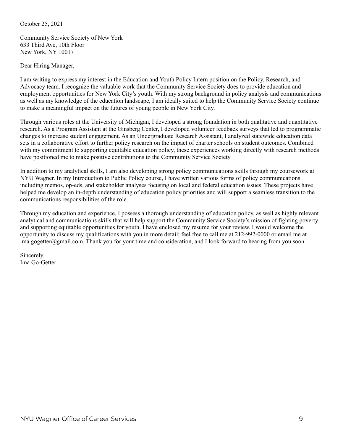October 25, 2021

Community Service Society of New York 633 Third Ave, 10th Floor New York, NY 10017

Dear Hiring Manager,

I am writing to express my interest in the Education and Youth Policy Intern position on the Policy, Research, and Advocacy team. I recognize the valuable work that the Community Service Society does to provide education and employment opportunities for New York City's youth. With my strong background in policy analysis and communications as well as my knowledge of the education landscape, I am ideally suited to help the Community Service Society continue to make a meaningful impact on the futures of young people in New York City.

Through various roles at the University of Michigan, I developed a strong foundation in both qualitative and quantitative research. As a Program Assistant at the Ginsberg Center, I developed volunteer feedback surveys that led to programmatic changes to increase student engagement. As an Undergraduate Research Assistant, I analyzed statewide education data sets in a collaborative effort to further policy research on the impact of charter schools on student outcomes. Combined with my commitment to supporting equitable education policy, these experiences working directly with research methods have positioned me to make positive contributions to the Community Service Society.

In addition to my analytical skills, I am also developing strong policy communications skills through my coursework at NYU Wagner. In my Introduction to Public Policy course, I have written various forms of policy communications including memos, op-eds, and stakeholder analyses focusing on local and federal education issues. These projects have helped me develop an in-depth understanding of education policy priorities and will support a seamless transition to the communications responsibilities of the role.

Through my education and experience, I possess a thorough understanding of education policy, as well as highly relevant analytical and communications skills that will help support the Community Service Society's mission of fighting poverty and supporting equitable opportunities for youth. I have enclosed my resume for your review. I would welcome the opportunity to discuss my qualifications with you in more detail; feel free to call me at 212-992-0000 or email me at ima.gogetter@gmail.com. Thank you for your time and consideration, and I look forward to hearing from you soon.

Sincerely, Ima Go-Getter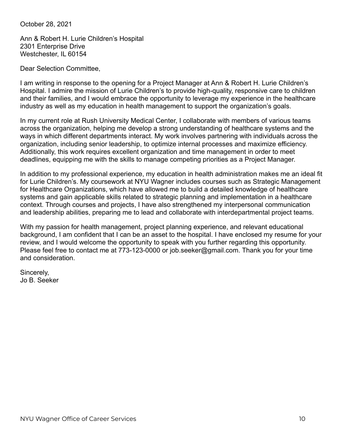October 28, 2021

Ann & Robert H. Lurie Children's Hospital 2301 Enterprise Drive Westchester, IL 60154

Dear Selection Committee,

I am writing in response to the opening for a Project Manager at Ann & Robert H. Lurie Children's Hospital. I admire the mission of Lurie Children's to provide high-quality, responsive care to children and their families, and I would embrace the opportunity to leverage my experience in the healthcare industry as well as my education in health management to support the organization's goals.

In my current role at Rush University Medical Center, I collaborate with members of various teams across the organization, helping me develop a strong understanding of healthcare systems and the ways in which different departments interact. My work involves partnering with individuals across the organization, including senior leadership, to optimize internal processes and maximize efficiency. Additionally, this work requires excellent organization and time management in order to meet deadlines, equipping me with the skills to manage competing priorities as a Project Manager.

In addition to my professional experience, my education in health administration makes me an ideal fit for Lurie Children's. My coursework at NYU Wagner includes courses such as Strategic Management for Healthcare Organizations, which have allowed me to build a detailed knowledge of healthcare systems and gain applicable skills related to strategic planning and implementation in a healthcare context. Through courses and projects, I have also strengthened my interpersonal communication and leadership abilities, preparing me to lead and collaborate with interdepartmental project teams.

With my passion for health management, project planning experience, and relevant educational background, I am confident that I can be an asset to the hospital. I have enclosed my resume for your review, and I would welcome the opportunity to speak with you further regarding this opportunity. Please feel free to contact me at 773-123-0000 or job.seeker@gmail.com. Thank you for your time and consideration.

Sincerely, Jo B. Seeker